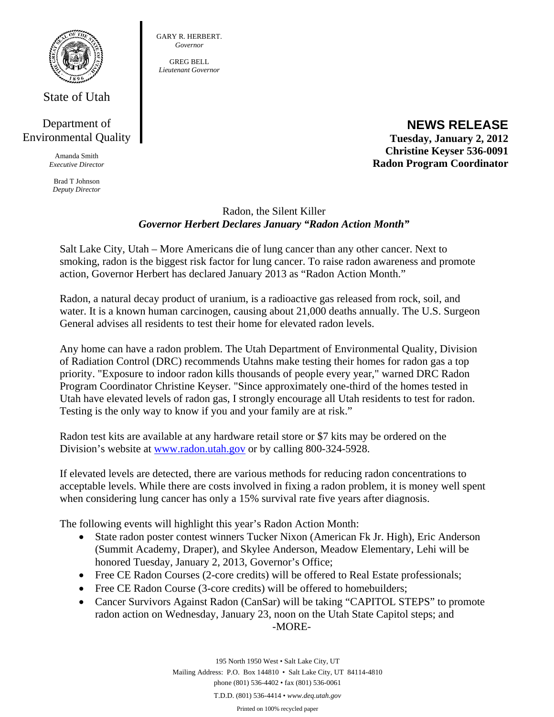

State of Utah

## Department of Environmental Quality

Amanda Smith *Executive Director* 

Brad T Johnson *Deputy Director* 

GREG BELL *Lieutenant Governor* 

## **NEWS RELEASE Tuesday, January 2, 2012 Christine Keyser 536-0091 Radon Program Coordinator**

## Radon, the Silent Killer *Governor Herbert Declares January "Radon Action Month"*

Salt Lake City, Utah – More Americans die of lung cancer than any other cancer. Next to smoking, radon is the biggest risk factor for lung cancer. To raise radon awareness and promote action, Governor Herbert has declared January 2013 as "Radon Action Month."

Radon, a natural decay product of uranium, is a radioactive gas released from rock, soil, and water. It is a known human carcinogen, causing about 21,000 deaths annually. The U.S. Surgeon General advises all residents to test their home for elevated radon levels.

Any home can have a radon problem. The Utah Department of Environmental Quality, Division of Radiation Control (DRC) recommends Utahns make testing their homes for radon gas a top priority. "Exposure to indoor radon kills thousands of people every year," warned DRC Radon Program Coordinator Christine Keyser. "Since approximately one-third of the homes tested in Utah have elevated levels of radon gas, I strongly encourage all Utah residents to test for radon. Testing is the only way to know if you and your family are at risk."

Radon test kits are available at any hardware retail store or \$7 kits may be ordered on the Division's website at www.radon.utah.gov or by calling 800-324-5928.

If elevated levels are detected, there are various methods for reducing radon concentrations to acceptable levels. While there are costs involved in fixing a radon problem, it is money well spent when considering lung cancer has only a 15% survival rate five years after diagnosis.

The following events will highlight this year's Radon Action Month:

- State radon poster contest winners Tucker Nixon (American Fk Jr. High), Eric Anderson (Summit Academy, Draper), and Skylee Anderson, Meadow Elementary, Lehi will be honored Tuesday, January 2, 2013, Governor's Office;
- Free CE Radon Courses (2-core credits) will be offered to Real Estate professionals;
- Free CE Radon Course (3-core credits) will be offered to homebuilders;
- Cancer Survivors Against Radon (CanSar) will be taking "CAPITOL STEPS" to promote radon action on Wednesday, January 23, noon on the Utah State Capitol steps; and -MORE-

195 North 1950 West • Salt Lake City, UT Mailing Address: P.O. Box 144810 • Salt Lake City, UT 84114-4810 phone (801) 536-4402 • fax (801) 536-0061 T.D.D. (801) 536-4414 • *www.deq.utah.gov*  Printed on 100% recycled paper